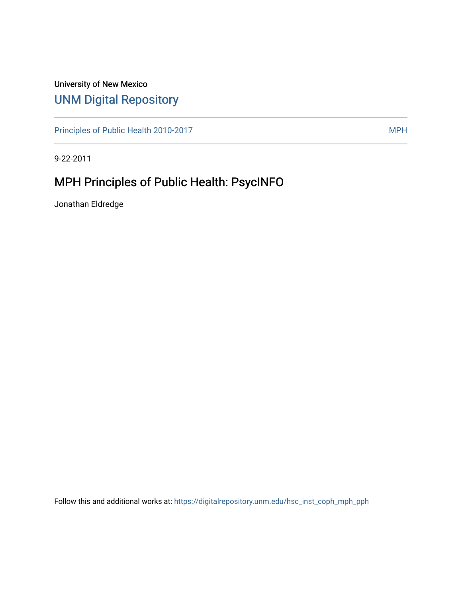## University of New Mexico [UNM Digital Repository](https://digitalrepository.unm.edu/)

[Principles of Public Health 2010-2017](https://digitalrepository.unm.edu/hsc_inst_coph_mph_pph) MPH

9-22-2011

# MPH Principles of Public Health: PsycINFO

Jonathan Eldredge

Follow this and additional works at: [https://digitalrepository.unm.edu/hsc\\_inst\\_coph\\_mph\\_pph](https://digitalrepository.unm.edu/hsc_inst_coph_mph_pph?utm_source=digitalrepository.unm.edu%2Fhsc_inst_coph_mph_pph%2F14&utm_medium=PDF&utm_campaign=PDFCoverPages)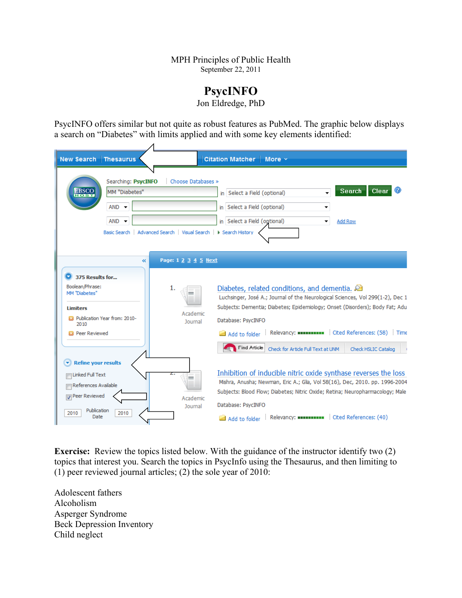#### MPH Principles of Public Health September 22, 2011

### **PsycINFO**

Jon Eldredge, PhD

PsycINFO offers similar but not quite as robust features as PubMed. The graphic below displays a search on "Diabetes" with limits applied and with some key elements identified:

| New Search   Thesaurus                                                                                                                                   |                                                                                                                                 |                                                   | Citation Matcher   More v                                                                                                                                                                                                                                                                                                                                                                      |
|----------------------------------------------------------------------------------------------------------------------------------------------------------|---------------------------------------------------------------------------------------------------------------------------------|---------------------------------------------------|------------------------------------------------------------------------------------------------------------------------------------------------------------------------------------------------------------------------------------------------------------------------------------------------------------------------------------------------------------------------------------------------|
| <b>EBSCO</b>                                                                                                                                             | Searching: PsycINFO<br>MM "Diabetes"<br>$AND -$<br>$AND -$<br>Basic Search   Advanced Search   Visual Search   N Search History | Choose Databases »                                | Search<br>Clear<br>in Select a Field (optional)<br>$\overline{\phantom{a}}$<br>in Select a Field (optional)<br>▼<br>in Select a Field (optional)<br>Add Row                                                                                                                                                                                                                                    |
| 375 Results for<br>o<br>Boolean/Phrase:<br>MM "Diabetes"<br><b>Limiters</b><br>2010-2010 Publication Year from: 2010-<br>2010<br><b>Et Peer Reviewed</b> | $\overline{\bf{z}}$                                                                                                             | Page: 1 2 3 4 5 Next<br>1.<br>Academic<br>Journal | Diabetes, related conditions, and dementia. $\bigcirc$<br>Luchsinger, José A.; Journal of the Neurological Sciences, Vol 299(1-2), Dec 1<br>Subjects: Dementia; Diabetes; Epidemiology; Onset (Disorders); Body Fat; Adu<br>Database: PsycINFO<br>Add to folder Relevancy: ENCHANGERY Cited References: (58) Time<br>Find Article<br>Check for Article Full Text at UNM<br>Check HSLIC Catalog |
| <b>Refine your results</b><br>Linked Full Text<br>References Available<br>Peer Reviewed<br>Publication<br>2010<br>Date                                   | 2010                                                                                                                            | z.<br>m<br>Academic<br>Journal                    | Inhibition of inducible nitric oxide synthase reverses the loss<br>Mishra, Anusha; Newman, Eric A.; Glia, Vol 58(16), Dec, 2010. pp. 1996-2004<br>Subjects: Blood Flow; Diabetes; Nitric Oxide; Retina; Neuropharmacology; Male<br>Database: PsycINFO<br>Add to folder Relevancy: AND References: (40)                                                                                         |

**Exercise:** Review the topics listed below. With the guidance of the instructor identify two (2) topics that interest you. Search the topics in PsycInfo using the Thesaurus, and then limiting to (1) peer reviewed journal articles; (2) the sole year of 2010:

Adolescent fathers Alcoholism Asperger Syndrome Beck Depression Inventory Child neglect